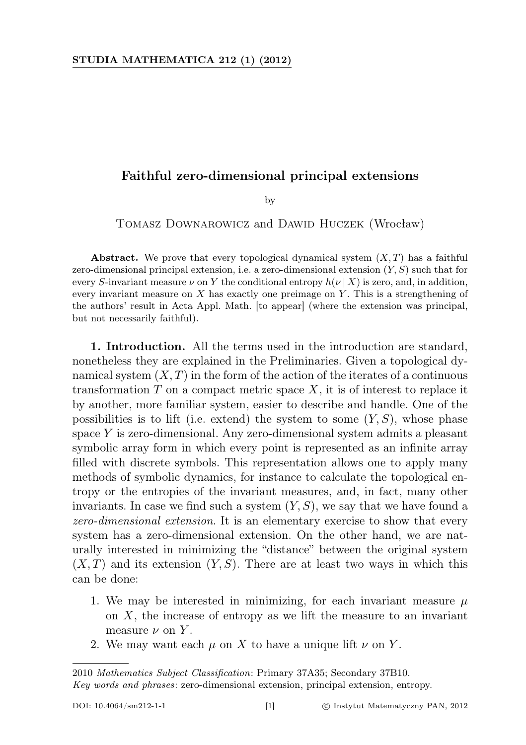## Faithful zero-dimensional principal extensions

by

Tomasz Downarowicz and Dawid Huczek (Wrocław)

Abstract. We prove that every topological dynamical system  $(X, T)$  has a faithful zero-dimensional principal extension, i.e. a zero-dimensional extension  $(Y, S)$  such that for every S-invariant measure  $\nu$  on Y the conditional entropy  $h(\nu | X)$  is zero, and, in addition, every invariant measure on  $X$  has exactly one preimage on  $Y$ . This is a strengthening of the authors' result in Acta Appl. Math. [to appear] (where the extension was principal, but not necessarily faithful).

1. Introduction. All the terms used in the introduction are standard, nonetheless they are explained in the Preliminaries. Given a topological dynamical system  $(X, T)$  in the form of the action of the iterates of a continuous transformation  $T$  on a compact metric space  $X$ , it is of interest to replace it by another, more familiar system, easier to describe and handle. One of the possibilities is to lift (i.e. extend) the system to some  $(Y, S)$ , whose phase space  $Y$  is zero-dimensional. Any zero-dimensional system admits a pleasant symbolic array form in which every point is represented as an infinite array filled with discrete symbols. This representation allows one to apply many methods of symbolic dynamics, for instance to calculate the topological entropy or the entropies of the invariant measures, and, in fact, many other invariants. In case we find such a system  $(Y, S)$ , we say that we have found a zero-dimensional extension. It is an elementary exercise to show that every system has a zero-dimensional extension. On the other hand, we are naturally interested in minimizing the "distance" between the original system  $(X, T)$  and its extension  $(Y, S)$ . There are at least two ways in which this can be done:

- 1. We may be interested in minimizing, for each invariant measure  $\mu$ on  $X$ , the increase of entropy as we lift the measure to an invariant measure  $\nu$  on Y.
- 2. We may want each  $\mu$  on X to have a unique lift  $\nu$  on Y.

<sup>2010</sup> Mathematics Subject Classification: Primary 37A35; Secondary 37B10. Key words and phrases: zero-dimensional extension, principal extension, entropy.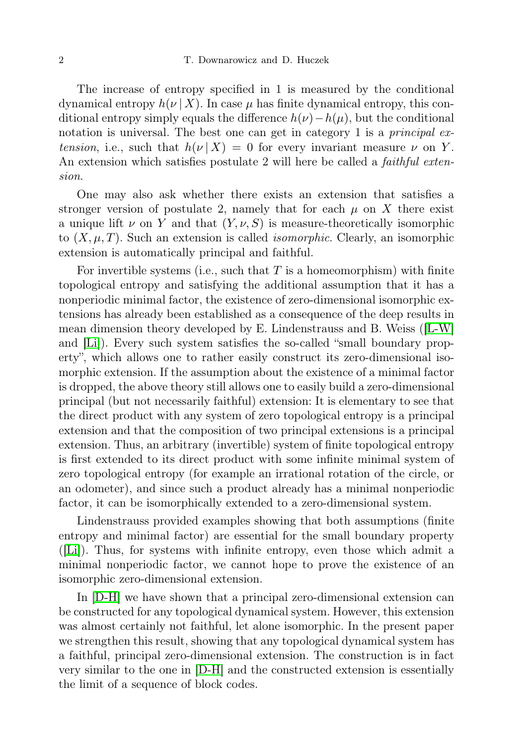The increase of entropy specified in 1 is measured by the conditional dynamical entropy  $h(\nu | X)$ . In case  $\mu$  has finite dynamical entropy, this conditional entropy simply equals the difference  $h(\nu) - h(\mu)$ , but the conditional notation is universal. The best one can get in category 1 is a *principal ex*tension, i.e., such that  $h(\nu | X) = 0$  for every invariant measure  $\nu$  on Y. An extension which satisfies postulate 2 will here be called a *faithful exten*sion.

One may also ask whether there exists an extension that satisfies a stronger version of postulate 2, namely that for each  $\mu$  on X there exist a unique lift  $\nu$  on Y and that  $(Y, \nu, S)$  is measure-theoretically isomorphic to  $(X, \mu, T)$ . Such an extension is called *isomorphic*. Clearly, an isomorphic extension is automatically principal and faithful.

For invertible systems (i.e., such that  $T$  is a homeomorphism) with finite topological entropy and satisfying the additional assumption that it has a nonperiodic minimal factor, the existence of zero-dimensional isomorphic extensions has already been established as a consequence of the deep results in mean dimension theory developed by E. Lindenstrauss and B. Weiss ([\[L-W\]](#page-17-0) and [\[Li\]](#page-17-1)). Every such system satisfies the so-called "small boundary property", which allows one to rather easily construct its zero-dimensional isomorphic extension. If the assumption about the existence of a minimal factor is dropped, the above theory still allows one to easily build a zero-dimensional principal (but not necessarily faithful) extension: It is elementary to see that the direct product with any system of zero topological entropy is a principal extension and that the composition of two principal extensions is a principal extension. Thus, an arbitrary (invertible) system of finite topological entropy is first extended to its direct product with some infinite minimal system of zero topological entropy (for example an irrational rotation of the circle, or an odometer), and since such a product already has a minimal nonperiodic factor, it can be isomorphically extended to a zero-dimensional system.

Lindenstrauss provided examples showing that both assumptions (finite entropy and minimal factor) are essential for the small boundary property ([\[Li\]](#page-17-1)). Thus, for systems with infinite entropy, even those which admit a minimal nonperiodic factor, we cannot hope to prove the existence of an isomorphic zero-dimensional extension.

In [\[D-H\]](#page-17-2) we have shown that a principal zero-dimensional extension can be constructed for any topological dynamical system. However, this extension was almost certainly not faithful, let alone isomorphic. In the present paper we strengthen this result, showing that any topological dynamical system has a faithful, principal zero-dimensional extension. The construction is in fact very similar to the one in [\[D-H\]](#page-17-2) and the constructed extension is essentially the limit of a sequence of block codes.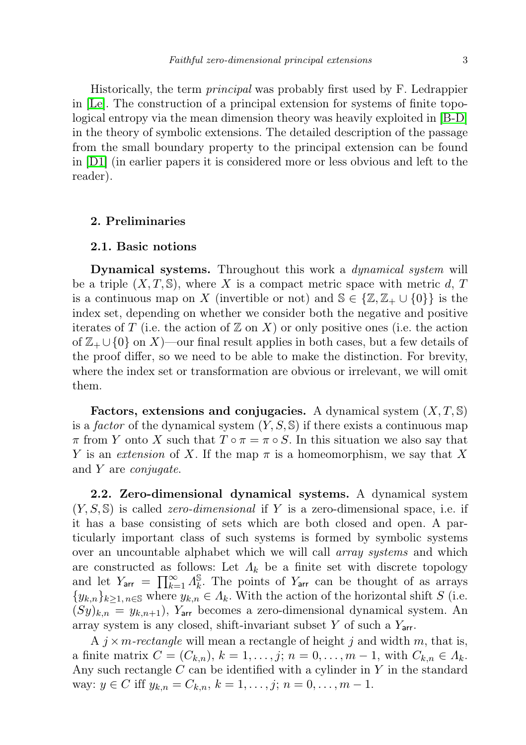Historically, the term principal was probably first used by F. Ledrappier in [\[Le\]](#page-17-3). The construction of a principal extension for systems of finite topological entropy via the mean dimension theory was heavily exploited in [\[B-D\]](#page-17-4) in the theory of symbolic extensions. The detailed description of the passage from the small boundary property to the principal extension can be found in [\[D1\]](#page-17-5) (in earlier papers it is considered more or less obvious and left to the reader).

### 2. Preliminaries

# 2.1. Basic notions

Dynamical systems. Throughout this work a dynamical system will be a triple  $(X, T, \mathbb{S})$ , where X is a compact metric space with metric d, T is a continuous map on X (invertible or not) and  $\mathbb{S} \in \{ \mathbb{Z}, \mathbb{Z}_+ \cup \{0\} \}$  is the index set, depending on whether we consider both the negative and positive iterates of T (i.e. the action of  $\mathbb{Z}$  on X) or only positive ones (i.e. the action of  $\mathbb{Z}_+ \cup \{0\}$  on X)—our final result applies in both cases, but a few details of the proof differ, so we need to be able to make the distinction. For brevity, where the index set or transformation are obvious or irrelevant, we will omit them.

Factors, extensions and conjugacies. A dynamical system  $(X, T, \mathbb{S})$ is a factor of the dynamical system  $(Y, S, \mathbb{S})$  if there exists a continuous map  $\pi$  from Y onto X such that  $T \circ \pi = \pi \circ S$ . In this situation we also say that Y is an extension of X. If the map  $\pi$  is a homeomorphism, we say that X and Y are conjugate.

2.2. Zero-dimensional dynamical systems. A dynamical system  $(Y, S, \mathbb{S})$  is called *zero-dimensional* if Y is a zero-dimensional space, i.e. if it has a base consisting of sets which are both closed and open. A particularly important class of such systems is formed by symbolic systems over an uncountable alphabet which we will call array systems and which are constructed as follows: Let  $\Lambda_k$  be a finite set with discrete topology and let  $Y_{\text{arr}} = \prod_{k=1}^{\infty} A_k^{\mathbb{S}}$  $\frac{8}{k}$ . The points of  $Y_{\text{arr}}$  can be thought of as arrays  $\{y_{k,n}\}_{k>1, n\in\mathbb{S}}$  where  $y_{k,n}\in\Lambda_k$ . With the action of the horizontal shift S (i.e.  $(Sy)_{k,n} = y_{k,n+1}$ , Y<sub>arr</sub> becomes a zero-dimensional dynamical system. An array system is any closed, shift-invariant subset Y of such a  $Y_{\text{arr}}$ .

A  $j \times m$ -rectangle will mean a rectangle of height j and width m, that is, a finite matrix  $C = (C_{k,n}), k = 1, ..., j; n = 0, ..., m-1$ , with  $C_{k,n} \in \Lambda_k$ . Any such rectangle  $C$  can be identified with a cylinder in  $Y$  in the standard way:  $y \in C$  iff  $y_{k,n} = C_{k,n}$ ,  $k = 1, \ldots, j; n = 0, \ldots, m - 1$ .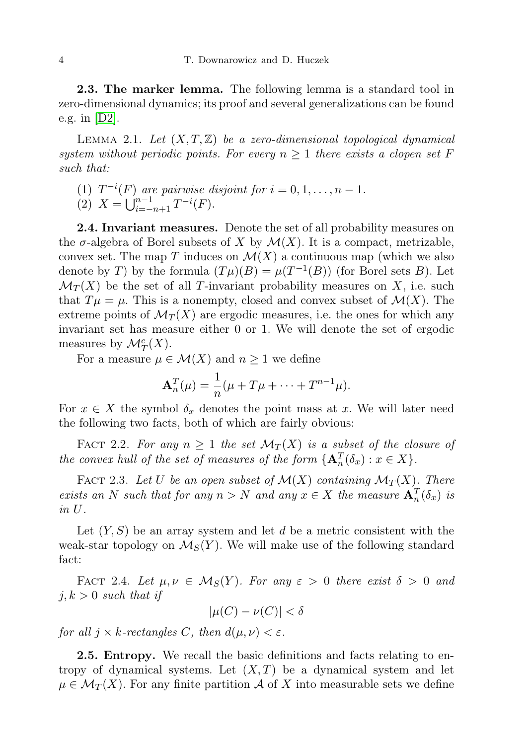2.3. The marker lemma. The following lemma is a standard tool in zero-dimensional dynamics; its proof and several generalizations can be found e.g. in [\[D2\]](#page-17-6).

<span id="page-3-1"></span>LEMMA 2.1. Let  $(X, T, \mathbb{Z})$  be a zero-dimensional topological dynamical system without periodic points. For every  $n \geq 1$  there exists a clopen set F such that:

(1)  $T^{-i}(F)$  are pairwise disjoint for  $i = 0, 1, \ldots, n - 1$ . (2)  $X = \bigcup_{i=-n+1}^{n-1} T^{-i}(F)$ .

**2.4. Invariant measures.** Denote the set of all probability measures on the  $\sigma$ -algebra of Borel subsets of X by  $\mathcal{M}(X)$ . It is a compact, metrizable, convex set. The map T induces on  $\mathcal{M}(X)$  a continuous map (which we also denote by T) by the formula  $(T\mu)(B) = \mu(T^{-1}(B))$  (for Borel sets B). Let  $\mathcal{M}_T(X)$  be the set of all T-invariant probability measures on X, i.e. such that  $T\mu = \mu$ . This is a nonempty, closed and convex subset of  $\mathcal{M}(X)$ . The extreme points of  $\mathcal{M}_T(X)$  are ergodic measures, i.e. the ones for which any invariant set has measure either 0 or 1. We will denote the set of ergodic measures by  $\mathcal{M}_T^e(X)$ .

For a measure  $\mu \in \mathcal{M}(X)$  and  $n \geq 1$  we define

$$
\mathbf{A}_n^T(\mu) = \frac{1}{n}(\mu + T\mu + \dots + T^{n-1}\mu).
$$

For  $x \in X$  the symbol  $\delta_x$  denotes the point mass at x. We will later need the following two facts, both of which are fairly obvious:

FACT 2.2. For any  $n \geq 1$  the set  $\mathcal{M}_T(X)$  is a subset of the closure of the convex hull of the set of measures of the form  $\{A_n^T(\delta_x) : x \in X\}$ .

<span id="page-3-0"></span>FACT 2.3. Let U be an open subset of  $\mathcal{M}(X)$  containing  $\mathcal{M}_T(X)$ . There exists an N such that for any  $n > N$  and any  $x \in X$  the measure  $\mathbf{A}_n^T(\delta_x)$  is in U.

Let  $(Y, S)$  be an array system and let d be a metric consistent with the weak-star topology on  $\mathcal{M}_S(Y)$ . We will make use of the following standard fact:

FACT 2.4. Let  $\mu, \nu \in \mathcal{M}_S(Y)$ . For any  $\varepsilon > 0$  there exist  $\delta > 0$  and  $j, k > 0$  such that if

$$
|\mu(C) - \nu(C)| < \delta
$$

for all  $j \times k$ -rectangles C, then  $d(\mu, \nu) < \varepsilon$ .

2.5. Entropy. We recall the basic definitions and facts relating to entropy of dynamical systems. Let  $(X, T)$  be a dynamical system and let  $\mu \in \mathcal{M}_T(X)$ . For any finite partition A of X into measurable sets we define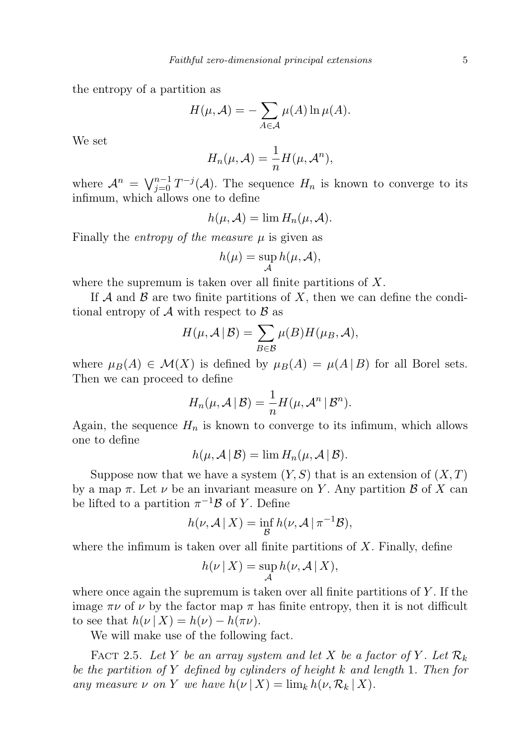the entropy of a partition as

$$
H(\mu, \mathcal{A}) = -\sum_{A \in \mathcal{A}} \mu(A) \ln \mu(A).
$$

We set

$$
H_n(\mu, \mathcal{A}) = \frac{1}{n} H(\mu, \mathcal{A}^n),
$$

where  $\mathcal{A}^n = \bigvee_{j=0}^{n-1} T^{-j}(\mathcal{A})$ . The sequence  $H_n$  is known to converge to its infimum, which allows one to define

$$
h(\mu, \mathcal{A}) = \lim H_n(\mu, \mathcal{A}).
$$

Finally the *entropy of the measure*  $\mu$  is given as

$$
h(\mu) = \sup_{\mathcal{A}} h(\mu, \mathcal{A}),
$$

where the supremum is taken over all finite partitions of  $X$ .

If A and B are two finite partitions of X, then we can define the conditional entropy of  $\mathcal A$  with respect to  $\mathcal B$  as

$$
H(\mu, \mathcal{A} \mid \mathcal{B}) = \sum_{B \in \mathcal{B}} \mu(B) H(\mu_B, \mathcal{A}),
$$

where  $\mu_B(A) \in \mathcal{M}(X)$  is defined by  $\mu_B(A) = \mu(A \mid B)$  for all Borel sets. Then we can proceed to define

$$
H_n(\mu,\mathcal{A} \,|\, \mathcal{B}) = \frac{1}{n} H(\mu,\mathcal{A}^n \,|\, \mathcal{B}^n).
$$

Again, the sequence  $H_n$  is known to converge to its infimum, which allows one to define

$$
h(\mu, \mathcal{A} | \mathcal{B}) = \lim H_n(\mu, \mathcal{A} | \mathcal{B}).
$$

Suppose now that we have a system  $(Y, S)$  that is an extension of  $(X, T)$ by a map  $\pi$ . Let  $\nu$  be an invariant measure on Y. Any partition  $\beta$  of X can be lifted to a partition  $\pi^{-1}B$  of Y. Define

$$
h(\nu, \mathcal{A} \mid X) = \inf_{\mathcal{B}} h(\nu, \mathcal{A} \mid \pi^{-1} \mathcal{B}),
$$

where the infimum is taken over all finite partitions of  $X$ . Finally, define

$$
h(\nu \mid X) = \sup_{\mathcal{A}} h(\nu, \mathcal{A} \mid X),
$$

where once again the supremum is taken over all finite partitions of  $Y$ . If the image  $\pi\nu$  of  $\nu$  by the factor map  $\pi$  has finite entropy, then it is not difficult to see that  $h(\nu | X) = h(\nu) - h(\pi \nu)$ .

We will make use of the following fact.

FACT 2.5. Let Y be an array system and let X be a factor of Y. Let  $\mathcal{R}_k$ be the partition of Y defined by cylinders of height k and length 1. Then for any measure  $\nu$  on Y we have  $h(\nu | X) = \lim_k h(\nu, \mathcal{R}_k | X)$ .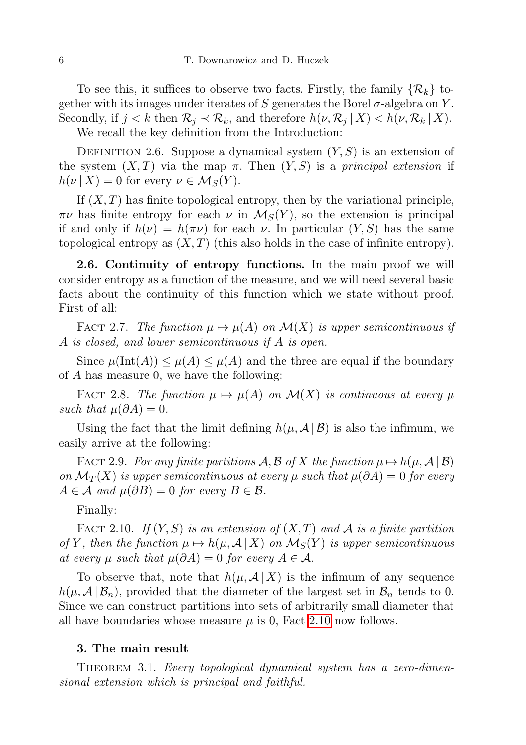To see this, it suffices to observe two facts. Firstly, the family  $\{\mathcal{R}_k\}$  together with its images under iterates of S generates the Borel  $\sigma$ -algebra on Y. Secondly, if  $j < k$  then  $\mathcal{R}_j \prec \mathcal{R}_k$ , and therefore  $h(\nu, \mathcal{R}_j | X) < h(\nu, \mathcal{R}_k | X)$ . We recall the key definition from the Introduction:

DEFINITION 2.6. Suppose a dynamical system  $(Y, S)$  is an extension of the system  $(X, T)$  via the map  $\pi$ . Then  $(Y, S)$  is a principal extension if  $h(\nu | X) = 0$  for every  $\nu \in \mathcal{M}_S(Y)$ .

If  $(X, T)$  has finite topological entropy, then by the variational principle,  $\pi\nu$  has finite entropy for each  $\nu$  in  $\mathcal{M}_S(Y)$ , so the extension is principal if and only if  $h(\nu) = h(\pi \nu)$  for each  $\nu$ . In particular  $(Y, S)$  has the same topological entropy as  $(X, T)$  (this also holds in the case of infinite entropy).

2.6. Continuity of entropy functions. In the main proof we will consider entropy as a function of the measure, and we will need several basic facts about the continuity of this function which we state without proof. First of all:

FACT 2.7. The function  $\mu \mapsto \mu(A)$  on  $\mathcal{M}(X)$  is upper semicontinuous if A is closed, and lower semicontinuous if A is open.

Since  $\mu(\text{Int}(A)) \leq \mu(A) \leq \mu(\overline{A})$  and the three are equal if the boundary of A has measure 0, we have the following:

FACT 2.8. The function  $\mu \mapsto \mu(A)$  on  $\mathcal{M}(X)$  is continuous at every  $\mu$ such that  $\mu(\partial A) = 0$ .

Using the fact that the limit defining  $h(\mu, \mathcal{A} | \mathcal{B})$  is also the infimum, we easily arrive at the following:

FACT 2.9. For any finite partitions  $\mathcal{A}, \mathcal{B}$  of X the function  $\mu \mapsto h(\mu, \mathcal{A} | \mathcal{B})$ on  $\mathcal{M}_T(X)$  is upper semicontinuous at every  $\mu$  such that  $\mu(\partial A) = 0$  for every  $A \in \mathcal{A}$  and  $\mu(\partial B) = 0$  for every  $B \in \mathcal{B}$ .

Finally:

<span id="page-5-0"></span>FACT 2.10. If  $(Y, S)$  is an extension of  $(X, T)$  and A is a finite partition of Y, then the function  $\mu \mapsto h(\mu, \mathcal{A} | X)$  on  $\mathcal{M}_S(Y)$  is upper semicontinuous at every  $\mu$  such that  $\mu(\partial A) = 0$  for every  $A \in \mathcal{A}$ .

To observe that, note that  $h(\mu, \mathcal{A} | X)$  is the infimum of any sequence  $h(\mu, \mathcal{A} | \mathcal{B}_n)$ , provided that the diameter of the largest set in  $\mathcal{B}_n$  tends to 0. Since we can construct partitions into sets of arbitrarily small diameter that all have boundaries whose measure  $\mu$  is 0, Fact [2.10](#page-5-0) now follows.

#### 3. The main result

<span id="page-5-1"></span>THEOREM 3.1. Every topological dynamical system has a zero-dimensional extension which is principal and faithful.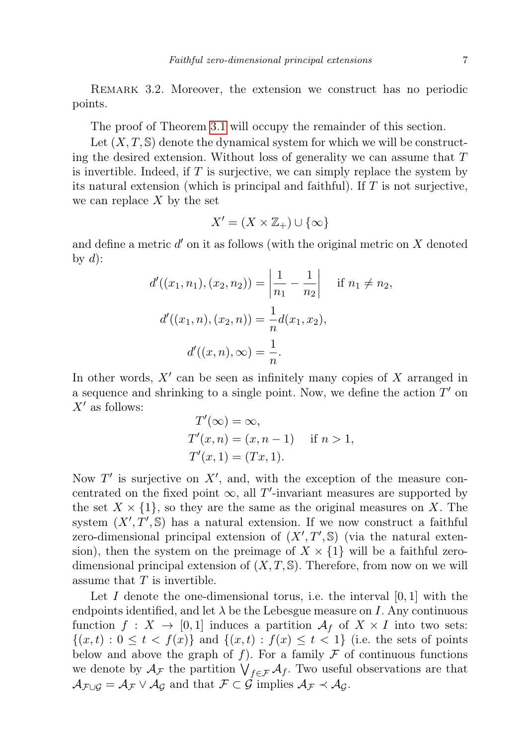REMARK 3.2. Moreover, the extension we construct has no periodic points.

The proof of Theorem [3.1](#page-5-1) will occupy the remainder of this section.

Let  $(X, T, \mathbb{S})$  denote the dynamical system for which we will be constructing the desired extension. Without loss of generality we can assume that  $T$ is invertible. Indeed, if  $T$  is surjective, we can simply replace the system by its natural extension (which is principal and faithful). If  $T$  is not surjective, we can replace  $X$  by the set

$$
X' = (X \times \mathbb{Z}_+) \cup \{\infty\}
$$

and define a metric  $d'$  on it as follows (with the original metric on  $X$  denoted by  $d$ :

$$
d'((x_1, n_1), (x_2, n_2)) = \left| \frac{1}{n_1} - \frac{1}{n_2} \right| \quad \text{if } n_1 \neq n_2,
$$
  

$$
d'((x_1, n), (x_2, n)) = \frac{1}{n} d(x_1, x_2),
$$
  

$$
d'((x, n), \infty) = \frac{1}{n}.
$$

In other words,  $X'$  can be seen as infinitely many copies of  $X$  arranged in a sequence and shrinking to a single point. Now, we define the action  $T'$  on  $X'$  as follows:

$$
T'(\infty) = \infty,
$$
  
\n
$$
T'(x, n) = (x, n - 1) \quad \text{if } n > 1,
$$
  
\n
$$
T'(x, 1) = (Tx, 1).
$$

Now  $T'$  is surjective on  $X'$ , and, with the exception of the measure concentrated on the fixed point  $\infty$ , all T'-invariant measures are supported by the set  $X \times \{1\}$ , so they are the same as the original measures on X. The system  $(X', T', \mathbb{S})$  has a natural extension. If we now construct a faithful zero-dimensional principal extension of  $(X', T', \mathbb{S})$  (via the natural extension), then the system on the preimage of  $X \times \{1\}$  will be a faithful zerodimensional principal extension of  $(X, T, \mathbb{S})$ . Therefore, from now on we will assume that  $T$  is invertible.

Let I denote the one-dimensional torus, i.e. the interval  $[0, 1]$  with the endpoints identified, and let  $\lambda$  be the Lebesgue measure on I. Any continuous function  $f: X \to [0,1]$  induces a partition  $\mathcal{A}_f$  of  $X \times I$  into two sets:  $\{(x,t): 0 \le t < f(x)\}\$ and  $\{(x,t): f(x) \le t < 1\}$  (i.e. the sets of points below and above the graph of  $f$ ). For a family  $\mathcal F$  of continuous functions we denote by  $\mathcal{A}_{\mathcal{F}}$  the partition  $\bigvee_{f\in\mathcal{F}}\mathcal{A}_{f}$ . Two useful observations are that  $\mathcal{A}_{\mathcal{F}\cup\mathcal{G}} = \mathcal{A}_{\mathcal{F}} \vee \mathcal{A}_{\mathcal{G}}$  and that  $\mathcal{F} \subset \mathcal{G}$  implies  $\mathcal{A}_{\mathcal{F}} \prec \mathcal{A}_{\mathcal{G}}$ .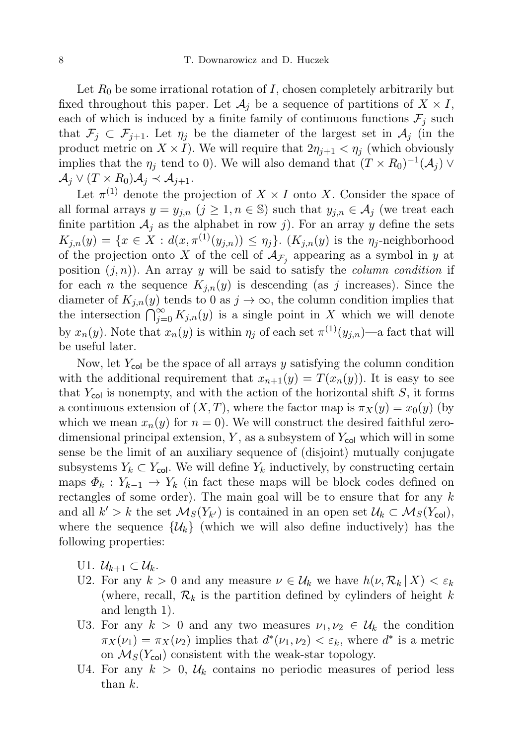Let  $R_0$  be some irrational rotation of I, chosen completely arbitrarily but fixed throughout this paper. Let  $\mathcal{A}_i$  be a sequence of partitions of  $X \times I$ , each of which is induced by a finite family of continuous functions  $\mathcal{F}_i$  such that  $\mathcal{F}_i \subset \mathcal{F}_{i+1}$ . Let  $\eta_i$  be the diameter of the largest set in  $\mathcal{A}_i$  (in the product metric on  $X \times I$ ). We will require that  $2\eta_{i+1} < \eta_i$  (which obviously implies that the  $\eta_j$  tend to 0). We will also demand that  $(T \times R_0)^{-1}(\mathcal{A}_j)$   $\vee$  $\mathcal{A}_j \vee (T \times R_0) \mathcal{A}_j \prec \mathcal{A}_{j+1}.$ 

Let  $\pi^{(1)}$  denote the projection of  $X \times I$  onto X. Consider the space of all formal arrays  $y = y_{j,n}$   $(j \geq 1, n \in \mathbb{S})$  such that  $y_{j,n} \in A_j$  (we treat each finite partition  $A_j$  as the alphabet in row j). For an array y define the sets  $K_{j,n}(y) = \{x \in X : d(x, \pi^{(1)}(y_{j,n})) \leq \eta_j\}.$  ( $K_{j,n}(y)$  is the  $\eta_j$ -neighborhood of the projection onto X of the cell of  $\mathcal{A}_{\mathcal{F}_j}$  appearing as a symbol in y at position  $(j, n)$ . An array y will be said to satisfy the *column condition* if for each *n* the sequence  $K_{j,n}(y)$  is descending (as *j* increases). Since the diameter of  $K_{j,n}(y)$  tends to 0 as  $j \to \infty$ , the column condition implies that the intersection  $\bigcap_{j=0}^{\infty} K_{j,n}(y)$  is a single point in X which we will denote by  $x_n(y)$ . Note that  $x_n(y)$  is within  $\eta_j$  of each set  $\pi^{(1)}(y_{j,n})$ —a fact that will be useful later.

Now, let  $Y_{\text{col}}$  be the space of all arrays y satisfying the column condition with the additional requirement that  $x_{n+1}(y) = T(x_n(y))$ . It is easy to see that  $Y_{\text{col}}$  is nonempty, and with the action of the horizontal shift S, it forms a continuous extension of  $(X, T)$ , where the factor map is  $\pi_X(y) = x_0(y)$  (by which we mean  $x_n(y)$  for  $n = 0$ . We will construct the desired faithful zerodimensional principal extension,  $Y$ , as a subsystem of  $Y_{\text{col}}$  which will in some sense be the limit of an auxiliary sequence of (disjoint) mutually conjugate subsystems  $Y_k \subset Y_{\text{col}}$ . We will define  $Y_k$  inductively, by constructing certain maps  $\Phi_k : Y_{k-1} \to Y_k$  (in fact these maps will be block codes defined on rectangles of some order). The main goal will be to ensure that for any  $k$ and all  $k' > k$  the set  $\mathcal{M}_S(Y_{k'})$  is contained in an open set  $\mathcal{U}_k \subset \mathcal{M}_S(Y_{\text{col}})$ , where the sequence  $\{\mathcal{U}_k\}$  (which we will also define inductively) has the following properties:

- U1.  $\mathcal{U}_{k+1} \subset \mathcal{U}_k$ .
- U2. For any  $k > 0$  and any measure  $\nu \in \mathcal{U}_k$  we have  $h(\nu, \mathcal{R}_k | X) < \varepsilon_k$ (where, recall,  $\mathcal{R}_k$  is the partition defined by cylinders of height k and length 1).
- U3. For any  $k > 0$  and any two measures  $\nu_1, \nu_2 \in \mathcal{U}_k$  the condition  $\pi_X(\nu_1) = \pi_X(\nu_2)$  implies that  $d^*(\nu_1, \nu_2) < \varepsilon_k$ , where  $d^*$  is a metric on  $\mathcal{M}_S(Y_{\text{col}})$  consistent with the weak-star topology.
- U4. For any  $k > 0$ ,  $\mathcal{U}_k$  contains no periodic measures of period less than k.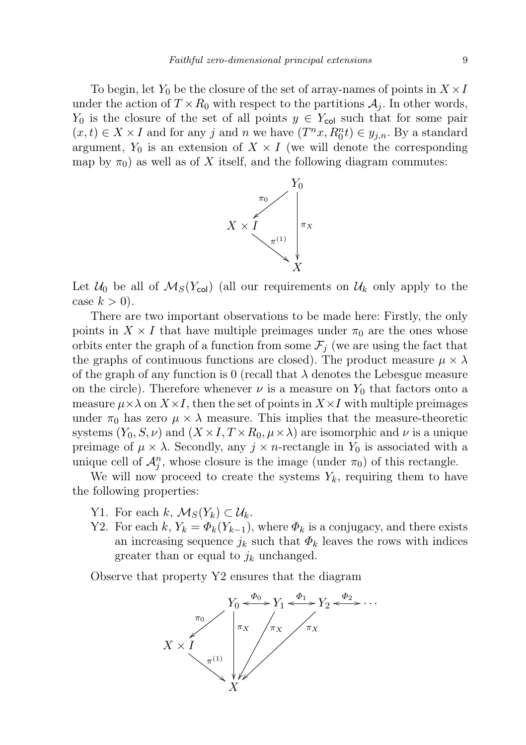To begin, let  $Y_0$  be the closure of the set of array-names of points in  $X \times I$ under the action of  $T \times R_0$  with respect to the partitions  $A_j$ . In other words,  $Y_0$  is the closure of the set of all points  $y \in Y_{\text{col}}$  such that for some pair  $(x,t) \in X \times I$  and for any j and n we have  $(T^n x, R_0^n t) \in y_{j,n}$ . By a standard argument,  $Y_0$  is an extension of  $X \times I$  (we will denote the corresponding map by  $\pi_0$ ) as well as of X itself, and the following diagram commutes:



Let  $\mathcal{U}_0$  be all of  $\mathcal{M}_S(Y_{\text{col}})$  (all our requirements on  $\mathcal{U}_k$  only apply to the case  $k > 0$ ).

There are two important observations to be made here: Firstly, the only points in  $X \times I$  that have multiple preimages under  $\pi_0$  are the ones whose orbits enter the graph of a function from some  $\mathcal{F}_i$  (we are using the fact that the graphs of continuous functions are closed). The product measure  $\mu \times \lambda$ of the graph of any function is 0 (recall that  $\lambda$  denotes the Lebesgue measure on the circle). Therefore whenever  $\nu$  is a measure on  $Y_0$  that factors onto a measure  $\mu \times \lambda$  on  $X \times I$ , then the set of points in  $X \times I$  with multiple preimages under  $\pi_0$  has zero  $\mu \times \lambda$  measure. This implies that the measure-theoretic systems  $(Y_0, S, \nu)$  and  $(X \times I, T \times R_0, \mu \times \lambda)$  are isomorphic and  $\nu$  is a unique preimage of  $\mu \times \lambda$ . Secondly, any  $j \times n$ -rectangle in  $Y_0$  is associated with a unique cell of  $\mathcal{A}_{j}^{n}$ , whose closure is the image (under  $\pi_{0}$ ) of this rectangle.

We will now proceed to create the systems  $Y_k$ , requiring them to have the following properties:

- Y1. For each k,  $\mathcal{M}_S(Y_k) \subset \mathcal{U}_k$ .
- Y2. For each k,  $Y_k = \Phi_k(Y_{k-1})$ , where  $\Phi_k$  is a conjugacy, and there exists an increasing sequence  $j_k$  such that  $\Phi_k$  leaves the rows with indices greater than or equal to  $j_k$  unchanged.

Observe that property Y2 ensures that the diagram

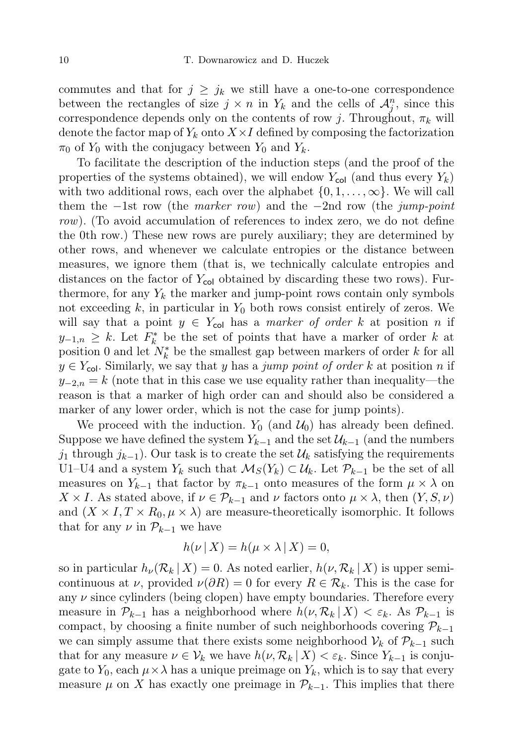commutes and that for  $j \geq j_k$  we still have a one-to-one correspondence between the rectangles of size  $j \times n$  in  $Y_k$  and the cells of  $\mathcal{A}_{j}^{n}$ , since this correspondence depends only on the contents of row j. Throughout,  $\pi_k$  will denote the factor map of  $Y_k$  onto  $X \times I$  defined by composing the factorization  $\pi_0$  of  $Y_0$  with the conjugacy between  $Y_0$  and  $Y_k$ .

To facilitate the description of the induction steps (and the proof of the properties of the systems obtained), we will endow  $Y_{\text{col}}$  (and thus every  $Y_k$ ) with two additional rows, each over the alphabet  $\{0, 1, \ldots, \infty\}$ . We will call them the −1st row (the *marker row*) and the −2nd row (the *jump-point* row). (To avoid accumulation of references to index zero, we do not define the 0th row.) These new rows are purely auxiliary; they are determined by other rows, and whenever we calculate entropies or the distance between measures, we ignore them (that is, we technically calculate entropies and distances on the factor of  $Y_{\text{col}}$  obtained by discarding these two rows). Furthermore, for any  $Y_k$  the marker and jump-point rows contain only symbols not exceeding  $k$ , in particular in  $Y_0$  both rows consist entirely of zeros. We will say that a point  $y \in Y_{\text{col}}$  has a marker of order k at position n if  $y_{-1,n} \geq k$ . Let  $F_k^*$  be the set of points that have a marker of order k at position 0 and let  $N_k^*$  be the smallest gap between markers of order k for all  $y \in Y_{\text{col}}$ . Similarly, we say that y has a jump point of order k at position n if  $y_{-2,n} = k$  (note that in this case we use equality rather than inequality—the reason is that a marker of high order can and should also be considered a marker of any lower order, which is not the case for jump points).

We proceed with the induction.  $Y_0$  (and  $\mathcal{U}_0$ ) has already been defined. Suppose we have defined the system  $Y_{k-1}$  and the set  $\mathcal{U}_{k-1}$  (and the numbers  $j_1$  through  $j_{k-1}$ ). Our task is to create the set  $\mathcal{U}_k$  satisfying the requirements U1–U4 and a system  $Y_k$  such that  $\mathcal{M}_S(Y_k) \subset \mathcal{U}_k$ . Let  $\mathcal{P}_{k-1}$  be the set of all measures on  $Y_{k-1}$  that factor by  $\pi_{k-1}$  onto measures of the form  $\mu \times \lambda$  on  $X \times I$ . As stated above, if  $\nu \in \mathcal{P}_{k-1}$  and  $\nu$  factors onto  $\mu \times \lambda$ , then  $(Y, S, \nu)$ and  $(X \times I, T \times R_0, \mu \times \lambda)$  are measure-theoretically isomorphic. It follows that for any  $\nu$  in  $\mathcal{P}_{k-1}$  we have

$$
h(\nu \mid X) = h(\mu \times \lambda \mid X) = 0,
$$

so in particular  $h_{\nu}(\mathcal{R}_k | X) = 0$ . As noted earlier,  $h(\nu, \mathcal{R}_k | X)$  is upper semicontinuous at  $\nu$ , provided  $\nu(\partial R) = 0$  for every  $R \in \mathcal{R}_k$ . This is the case for any  $\nu$  since cylinders (being clopen) have empty boundaries. Therefore every measure in  $\mathcal{P}_{k-1}$  has a neighborhood where  $h(\nu, \mathcal{R}_k | X) < \varepsilon_k$ . As  $\mathcal{P}_{k-1}$  is compact, by choosing a finite number of such neighborhoods covering  $\mathcal{P}_{k-1}$ we can simply assume that there exists some neighborhood  $\mathcal{V}_k$  of  $\mathcal{P}_{k-1}$  such that for any measure  $\nu \in \mathcal{V}_k$  we have  $h(\nu, \mathcal{R}_k | X) < \varepsilon_k$ . Since  $Y_{k-1}$  is conjugate to  $Y_0$ , each  $\mu \times \lambda$  has a unique preimage on  $Y_k$ , which is to say that every measure  $\mu$  on X has exactly one preimage in  $\mathcal{P}_{k-1}$ . This implies that there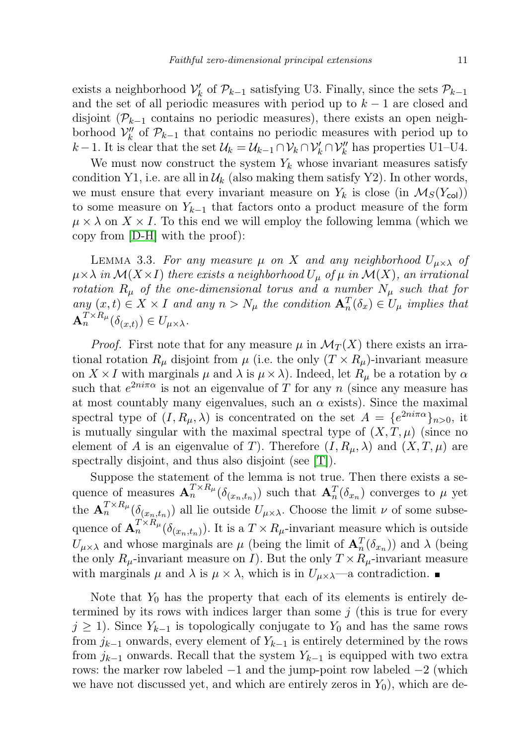exists a neighborhood  $\mathcal{V}'_k$  of  $\mathcal{P}_{k-1}$  satisfying U3. Finally, since the sets  $\mathcal{P}_{k-1}$ and the set of all periodic measures with period up to  $k-1$  are closed and disjoint ( $\mathcal{P}_{k-1}$  contains no periodic measures), there exists an open neighborhood  $\mathcal{V}_k''$  of  $\mathcal{P}_{k-1}$  that contains no periodic measures with period up to k − 1. It is clear that the set  $\mathcal{U}_k = \mathcal{U}_{k-1} \cap \mathcal{V}_k \cap \mathcal{V}'_k \cap \mathcal{V}''_k$  has properties U1–U4.

We must now construct the system  $Y_k$  whose invariant measures satisfy condition Y1, i.e. are all in  $\mathcal{U}_k$  (also making them satisfy Y2). In other words, we must ensure that every invariant measure on  $Y_k$  is close (in  $\mathcal{M}_S(Y_{\text{col}}))$ ) to some measure on  $Y_{k-1}$  that factors onto a product measure of the form  $\mu \times \lambda$  on  $X \times I$ . To this end we will employ the following lemma (which we copy from [\[D-H\]](#page-17-2) with the proof):

<span id="page-10-0"></span>LEMMA 3.3. For any measure  $\mu$  on X and any neighborhood  $U_{\mu \times \lambda}$  of  $\mu \times \lambda$  in  $\mathcal{M}(X \times I)$  there exists a neighborhood  $U_{\mu}$  of  $\mu$  in  $\mathcal{M}(X)$ , an irrational rotation  $R_{\mu}$  of the one-dimensional torus and a number  $N_{\mu}$  such that for any  $(x,t) \in X \times I$  and any  $n > N_{\mu}$  the condition  $\mathbf{A}_n^T(\delta_x) \in U_{\mu}$  implies that  $\mathbf{A}_n^{T \times R_\mu}(\delta_{(x,t)}) \in U_{\mu \times \lambda}.$ 

*Proof.* First note that for any measure  $\mu$  in  $\mathcal{M}_T(X)$  there exists an irrational rotation  $R_\mu$  disjoint from  $\mu$  (i.e. the only  $(T \times R_\mu)$ -invariant measure on  $X \times I$  with marginals  $\mu$  and  $\lambda$  is  $\mu \times \lambda$ ). Indeed, let  $R_{\mu}$  be a rotation by  $\alpha$ such that  $e^{2ni\pi\alpha}$  is not an eigenvalue of T for any n (since any measure has at most countably many eigenvalues, such an  $\alpha$  exists). Since the maximal spectral type of  $(I, R_{\mu}, \lambda)$  is concentrated on the set  $A = \{e^{2ni\pi\alpha}\}_{n>0}$ , it is mutually singular with the maximal spectral type of  $(X, T, \mu)$  (since no element of A is an eigenvalue of T). Therefore  $(I, R_{\mu}, \lambda)$  and  $(X, T, \mu)$  are spectrally disjoint, and thus also disjoint (see [\[T\]](#page-18-0)).

Suppose the statement of the lemma is not true. Then there exists a sequence of measures  $\mathbf{A}_n^{T \times R_\mu}(\delta_{(x_n,t_n)})$  such that  $\mathbf{A}_n^T(\delta_{x_n})$  converges to  $\mu$  yet the  ${\bf A}_n^{T \times R_\mu}(\delta_{(x_n,t_n)})$  all lie outside  $U_{\mu \times \lambda}$ . Choose the limit  $\nu$  of some subsequence of  ${\bf A}_n^{T \times R_\mu}(\delta_{(x_n,t_n)})$ . It is a  $T \times R_\mu$ -invariant measure which is outside  $U_{\mu\times\lambda}$  and whose marginals are  $\mu$  (being the limit of  ${\bf A}_n^T(\delta_{x_n})$ ) and  $\lambda$  (being the only  $R_{\mu}$ -invariant measure on I). But the only  $T \times R_{\mu}$ -invariant measure with marginals  $\mu$  and  $\lambda$  is  $\mu \times \lambda$ , which is in  $U_{\mu \times \lambda}$ —a contradiction.

Note that  $Y_0$  has the property that each of its elements is entirely determined by its rows with indices larger than some  $j$  (this is true for every  $j \geq 1$ ). Since  $Y_{k-1}$  is topologically conjugate to  $Y_0$  and has the same rows from  $j_{k-1}$  onwards, every element of  $Y_{k-1}$  is entirely determined by the rows from  $j_{k-1}$  onwards. Recall that the system  $Y_{k-1}$  is equipped with two extra rows: the marker row labeled  $-1$  and the jump-point row labeled  $-2$  (which we have not discussed yet, and which are entirely zeros in  $Y_0$ , which are de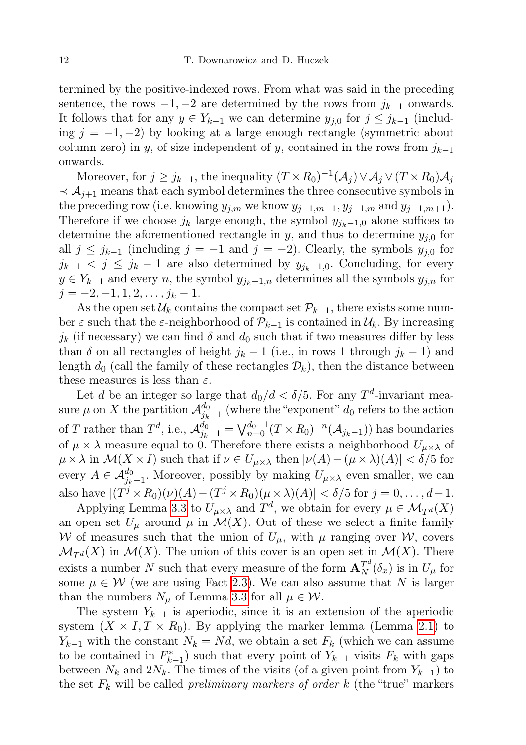termined by the positive-indexed rows. From what was said in the preceding sentence, the rows  $-1, -2$  are determined by the rows from  $j_{k-1}$  onwards. It follows that for any  $y \in Y_{k-1}$  we can determine  $y_{i,0}$  for  $j \leq j_{k-1}$  (including  $j = -1, -2$ ) by looking at a large enough rectangle (symmetric about column zero) in y, of size independent of y, contained in the rows from  $j_{k-1}$ onwards.

Moreover, for  $j \geq j_{k-1}$ , the inequality  $(T \times R_0)^{-1}(\mathcal{A}_j) \vee \mathcal{A}_j \vee (T \times R_0)\mathcal{A}_j$  $\prec A_{i+1}$  means that each symbol determines the three consecutive symbols in the preceding row (i.e. knowing  $y_{j,m}$  we know  $y_{j-1,m-1}, y_{j-1,m}$  and  $y_{j-1,m+1}$ ). Therefore if we choose  $j_k$  large enough, the symbol  $y_{j_k-1,0}$  alone suffices to determine the aforementioned rectangle in  $y$ , and thus to determine  $y_{j,0}$  for all  $j \leq j_{k-1}$  (including  $j = -1$  and  $j = -2$ ). Clearly, the symbols  $y_{j,0}$  for  $j_{k-1} < j \leq j_k - 1$  are also determined by  $y_{j_k-1,0}$ . Concluding, for every  $y \in Y_{k-1}$  and every n, the symbol  $y_{j_k-1,n}$  determines all the symbols  $y_{j,n}$  for  $j = -2, -1, 1, 2, \ldots, j_k - 1.$ 

As the open set  $\mathcal{U}_k$  contains the compact set  $\mathcal{P}_{k-1}$ , there exists some number  $\varepsilon$  such that the  $\varepsilon$ -neighborhood of  $\mathcal{P}_{k-1}$  is contained in  $\mathcal{U}_k$ . By increasing  $j_k$  (if necessary) we can find  $\delta$  and  $d_0$  such that if two measures differ by less than  $\delta$  on all rectangles of height  $j_k - 1$  (i.e., in rows 1 through  $j_k - 1$ ) and length  $d_0$  (call the family of these rectangles  $\mathcal{D}_k$ ), then the distance between these measures is less than  $\varepsilon$ .

Let d be an integer so large that  $d_0/d < \delta/5$ . For any  $T^d$ -invariant measure  $\mu$  on X the partition  $\mathcal{A}_{i\mu}^{d_0}$  $j_{k-1}^{a_0}$  (where the "exponent"  $d_0$  refers to the action of T rather than  $T^d$ , i.e.,  $\mathcal{A}_{j_k-1}^{d_0} = \bigvee_{n=0}^{d_0-1} (T \times R_0)^{-n} (\mathcal{A}_{j_k-1})$  has boundaries of  $\mu \times \lambda$  measure equal to 0. Therefore there exists a neighborhood  $U_{\mu \times \lambda}$  of  $\mu \times \lambda$  in  $\mathcal{M}(X \times I)$  such that if  $\nu \in U_{\mu \times \lambda}$  then  $|\nu(A) - (\mu \times \lambda)(A)| < \delta/5$  for every  $A \in \mathcal{A}_{j_k-1}^{d_0}$ . Moreover, possibly by making  $U_{\mu \times \lambda}$  even smaller, we can also have  $|(T^j \times R_0)(\nu)(A) - (T^j \times R_0)(\mu \times \lambda)(A)| < \delta/5$  for  $j = 0, \ldots, d-1$ .

Applying Lemma [3.3](#page-10-0) to  $U_{\mu \times \lambda}$  and  $T^d$ , we obtain for every  $\mu \in \mathcal{M}_{T^d}(X)$ an open set  $U_{\mu}$  around  $\mu$  in  $\mathcal{M}(X)$ . Out of these we select a finite family W of measures such that the union of  $U_{\mu}$ , with  $\mu$  ranging over W, covers  $\mathcal{M}_{T^d}(X)$  in  $\mathcal{M}(X)$ . The union of this cover is an open set in  $\mathcal{M}(X)$ . There exists a number N such that every measure of the form  ${\bf A}_N^{T^d}(\delta_x)$  is in  $U_\mu$  for some  $\mu \in \mathcal{W}$  (we are using Fact [2.3\)](#page-3-0). We can also assume that N is larger than the numbers  $N_{\mu}$  of Lemma [3.3](#page-10-0) for all  $\mu \in \mathcal{W}$ .

The system  $Y_{k-1}$  is aperiodic, since it is an extension of the aperiodic system  $(X \times I, T \times R_0)$ . By applying the marker lemma (Lemma [2.1\)](#page-3-1) to  $Y_{k-1}$  with the constant  $N_k = Nd$ , we obtain a set  $F_k$  (which we can assume to be contained in  $F_{k-1}^*$  such that every point of  $Y_{k-1}$  visits  $F_k$  with gaps between  $N_k$  and  $2N_k$ . The times of the visits (of a given point from  $Y_{k-1}$ ) to the set  $F_k$  will be called *preliminary markers of order k* (the "true" markers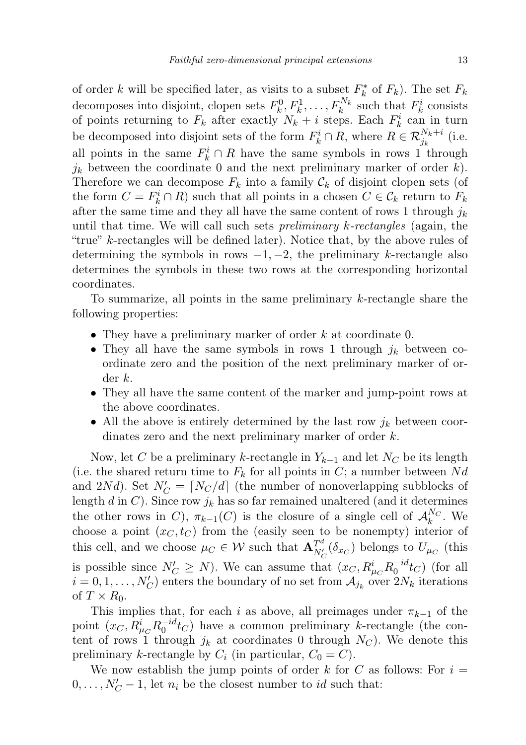of order k will be specified later, as visits to a subset  $F_k^*$  of  $F_k$ ). The set  $F_k$ decomposes into disjoint, clopen sets  $F_k^0, F_k^1, \ldots, F_k^{N_k}$  such that  $F_k^i$  consists of points returning to  $F_k$  after exactly  $N_k + i$  steps. Each  $F_k^i$  can in turn be decomposed into disjoint sets of the form  $F_k^i \cap R$ , where  $R \in \mathcal{R}_{j_k}^{N_k+i}$  (i.e. all points in the same  $F_k^i \cap R$  have the same symbols in rows 1 through  $j_k$  between the coordinate 0 and the next preliminary marker of order k). Therefore we can decompose  $F_k$  into a family  $\mathcal{C}_k$  of disjoint clopen sets (of the form  $C = F_k^i \cap R$  such that all points in a chosen  $C \in \mathcal{C}_k$  return to  $F_k$ after the same time and they all have the same content of rows 1 through  $j_k$ until that time. We will call such sets *preliminary k-rectangles* (again, the "true" k-rectangles will be defined later). Notice that, by the above rules of determining the symbols in rows  $-1, -2$ , the preliminary k-rectangle also determines the symbols in these two rows at the corresponding horizontal coordinates.

To summarize, all points in the same preliminary k-rectangle share the following properties:

- They have a preliminary marker of order  $k$  at coordinate 0.
- They all have the same symbols in rows 1 through  $j_k$  between coordinate zero and the position of the next preliminary marker of order k.
- They all have the same content of the marker and jump-point rows at the above coordinates.
- All the above is entirely determined by the last row  $j_k$  between coordinates zero and the next preliminary marker of order k.

Now, let C be a preliminary k-rectangle in  $Y_{k-1}$  and let  $N_C$  be its length (i.e. the shared return time to  $F_k$  for all points in C; a number between Nd and 2Nd). Set  $N_C' = \lfloor N_C/d \rfloor$  (the number of nonoverlapping subblocks of length d in C). Since row  $j_k$  has so far remained unaltered (and it determines the other rows in C),  $\pi_{k-1}(C)$  is the closure of a single cell of  $\mathcal{A}_k^{N_C}$ . We choose a point  $(x_C, t_C)$  from the (easily seen to be nonempty) interior of this cell, and we choose  $\mu_C \in \mathcal{W}$  such that  $\mathbf{A}_{N_C'}^{T^d}(\delta_{x_C})$  belongs to  $U_{\mu_C}$  (this is possible since  $N'_C \ge N$ ). We can assume that  $(x_C, R^i_{\mu_C} R_0^{-id} t_C)$  (for all  $i = 0, 1, \ldots, N_C'$  enters the boundary of no set from  $A_{j_k}$  over  $2N_k$  iterations of  $T \times R_0$ .

This implies that, for each i as above, all preimages under  $\pi_{k-1}$  of the point  $(x_C, R^i_{\mu_C} R_0^{-id} t_C)$  have a common preliminary k-rectangle (the content of rows 1 through  $j_k$  at coordinates 0 through  $N_C$ ). We denote this preliminary k-rectangle by  $C_i$  (in particular,  $C_0 = C$ ).

We now establish the jump points of order k for C as follows: For  $i =$  $0, \ldots, N_C' - 1$ , let  $n_i$  be the closest number to *id* such that: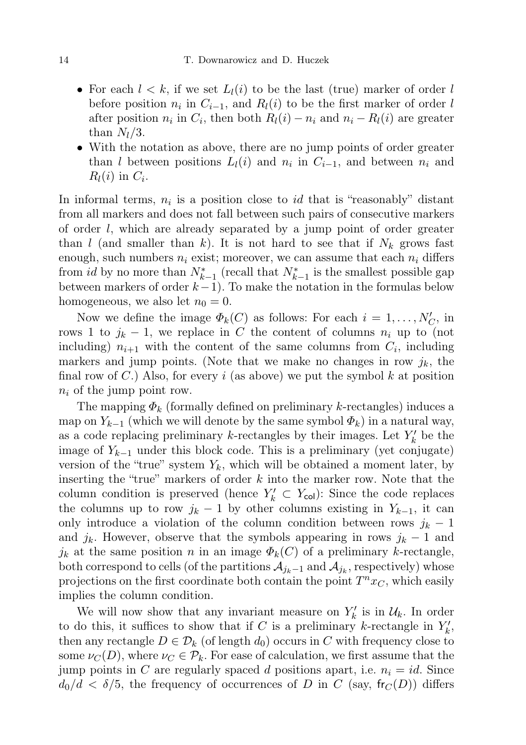- For each  $l < k$ , if we set  $L_l(i)$  to be the last (true) marker of order l before position  $n_i$  in  $C_{i-1}$ , and  $R_l(i)$  to be the first marker of order l after position  $n_i$  in  $C_i$ , then both  $R_l(i) - n_i$  and  $n_i - R_l(i)$  are greater than  $N_l/3$ .
- With the notation as above, there are no jump points of order greater than l between positions  $L_l(i)$  and  $n_i$  in  $C_{i-1}$ , and between  $n_i$  and  $R_l(i)$  in  $C_i$ .

In informal terms,  $n_i$  is a position close to *id* that is "reasonably" distant from all markers and does not fall between such pairs of consecutive markers of order  $l$ , which are already separated by a jump point of order greater than l (and smaller than k). It is not hard to see that if  $N_k$  grows fast enough, such numbers  $n_i$  exist; moreover, we can assume that each  $n_i$  differs from *id* by no more than  $N_{k-1}^*$  (recall that  $N_{k-1}^*$  is the smallest possible gap between markers of order  $k-1$ ). To make the notation in the formulas below homogeneous, we also let  $n_0 = 0$ .

Now we define the image  $\Phi_k(C)$  as follows: For each  $i = 1, \ldots, N_C'$ , in rows 1 to  $j_k - 1$ , we replace in C the content of columns  $n_i$  up to (not including)  $n_{i+1}$  with the content of the same columns from  $C_i$ , including markers and jump points. (Note that we make no changes in row  $j_k$ , the final row of  $C$ .) Also, for every i (as above) we put the symbol k at position  $n_i$  of the jump point row.

The mapping  $\Phi_k$  (formally defined on preliminary k-rectangles) induces a map on  $Y_{k-1}$  (which we will denote by the same symbol  $\Phi_k$ ) in a natural way, as a code replacing preliminary *k*-rectangles by their images. Let  $Y'_k$  be the image of  $Y_{k-1}$  under this block code. This is a preliminary (yet conjugate) version of the "true" system  $Y_k$ , which will be obtained a moment later, by inserting the "true" markers of order  $k$  into the marker row. Note that the column condition is preserved (hence  $Y'_k \subset Y_{\text{col}}$ ): Since the code replaces the columns up to row  $j_k - 1$  by other columns existing in  $Y_{k-1}$ , it can only introduce a violation of the column condition between rows  $j_k - 1$ and  $j_k$ . However, observe that the symbols appearing in rows  $j_k - 1$  and  $j_k$  at the same position n in an image  $\Phi_k(C)$  of a preliminary k-rectangle, both correspond to cells (of the partitions  $\mathcal{A}_{j_k-1}$  and  $\mathcal{A}_{j_k},$  respectively) whose projections on the first coordinate both contain the point  $T^n x_C$ , which easily implies the column condition.

We will now show that any invariant measure on  $Y'_k$  is in  $\mathcal{U}_k$ . In order to do this, it suffices to show that if C is a preliminary k-rectangle in  $Y'_k$ , then any rectangle  $D \in \mathcal{D}_k$  (of length  $d_0$ ) occurs in C with frequency close to some  $\nu_C(D)$ , where  $\nu_C \in \mathcal{P}_k$ . For ease of calculation, we first assume that the jump points in C are regularly spaced d positions apart, i.e.  $n_i = id$ . Since  $d_0/d < \delta/5$ , the frequency of occurrences of D in C (say,  $\mathsf{fr}_C(D)$ ) differs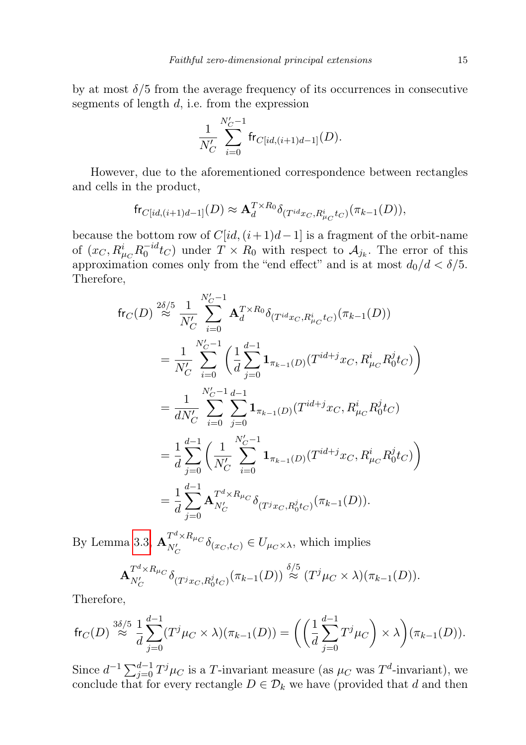by at most  $\delta/5$  from the average frequency of its occurrences in consecutive segments of length  $d$ , i.e. from the expression

$$
\frac{1}{N_C'}\sum_{i=0}^{N_C'-1} \mathrm{fr}_{C[id,(i+1)d-1]}(D).
$$

However, due to the aforementioned correspondence between rectangles and cells in the product,

$$
\mathsf{fr}_{C}[id,(i+1)d-1](D) \approx \mathbf{A}_d^{T \times R_0} \delta_{(T^{id}x_C,R^i_{\mu_C}tc)}(\pi_{k-1}(D)),
$$

because the bottom row of  $C(id,(i+1)d-1]$  is a fragment of the orbit-name of  $(x_C, R^i_{\mu_C} R_0^{-id} t_C)$  under  $T \times R_0$  with respect to  $\mathcal{A}_{j_k}$ . The error of this approximation comes only from the "end effect" and is at most  $d_0/d < \delta/5$ . Therefore,

$$
\begin{split}\n\text{fr}_{C}(D) & \stackrel{2\delta/5}{\approx} \frac{1}{N'_{C}} \sum_{i=0}^{N'_{C}-1} \mathbf{A}_{d}^{T \times R_{0}} \delta_{(T^{id}x_{C}, R^{i}_{\mu_{C}}t_{C})}(\pi_{k-1}(D)) \\
&= \frac{1}{N'_{C}} \sum_{i=0}^{N'_{C}-1} \left( \frac{1}{d} \sum_{j=0}^{d-1} \mathbf{1}_{\pi_{k-1}(D)}(T^{id+j}x_{C}, R^{i}_{\mu_{C}}R^{j}_{0}t_{C}) \right) \\
&= \frac{1}{dN'_{C}} \sum_{i=0}^{N'_{C}-1} \sum_{j=0}^{d-1} \mathbf{1}_{\pi_{k-1}(D)}(T^{id+j}x_{C}, R^{i}_{\mu_{C}}R^{j}_{0}t_{C}) \\
&= \frac{1}{d} \sum_{j=0}^{d-1} \left( \frac{1}{N'_{C}} \sum_{i=0}^{N'_{C}-1} \mathbf{1}_{\pi_{k-1}(D)}(T^{id+j}x_{C}, R^{i}_{\mu_{C}}R^{j}_{0}t_{C}) \right) \\
&= \frac{1}{d} \sum_{j=0}^{d-1} \mathbf{A}_{N'_{C}}^{T^{d} \times R_{\mu_{C}}} \delta_{(T^{j}x_{C}, R^{j}_{0}t_{C})}(\pi_{k-1}(D)).\n\end{split}
$$

By Lemma [3.3,](#page-10-0)  $\mathbf{A}_{N'}^{T^d \times R_{\mu_C}}$  $N_C^{\prime}$   $\delta_{(x_C, t_C)} \in U_{\mu_C \times \lambda}$ , which implies

$$
\mathbf{A}_{N_C'}^{T^d \times R_{\mu_C}} \delta_{(T^j x_C, R_0^j t_C)}(\pi_{k-1}(D)) \stackrel{\delta/5}{\approx} (T^j \mu_C \times \lambda)(\pi_{k-1}(D)).
$$

Therefore,

$$
\mathrm{fr}_C(D) \stackrel{3\delta/5}{\approx} \frac{1}{d} \sum_{j=0}^{d-1} (T^j \mu_C \times \lambda)(\pi_{k-1}(D)) = \left( \left( \frac{1}{d} \sum_{j=0}^{d-1} T^j \mu_C \right) \times \lambda \right) (\pi_{k-1}(D)).
$$

Since  $d^{-1} \sum_{j=0}^{d-1} T^j \mu_C$  is a T-invariant measure (as  $\mu_C$  was  $T^d$ -invariant), we conclude that for every rectangle  $D \in \mathcal{D}_k$  we have (provided that d and then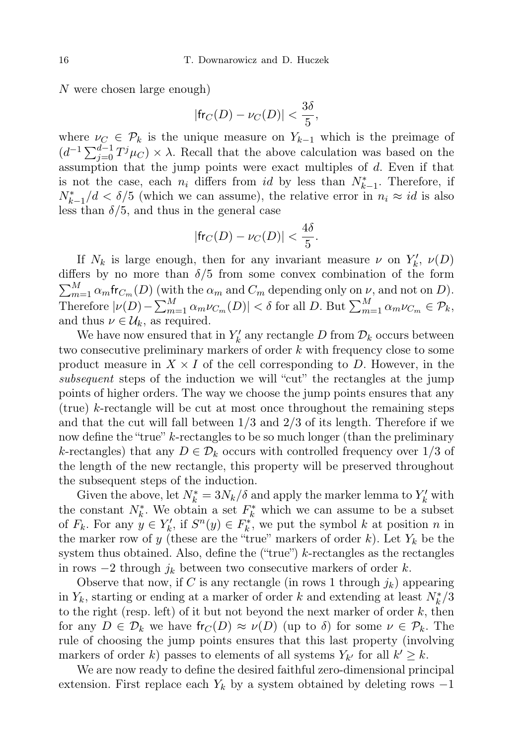N were chosen large enough)

$$
|\text{fr}_C(D) - \nu_C(D)| < \frac{3\delta}{5},
$$

where  $\nu_C \in \mathcal{P}_k$  is the unique measure on  $Y_{k-1}$  which is the preimage of  $(d^{-1}\sum_{j=0}^{d-1}T^j\mu_C)\times\lambda$ . Recall that the above calculation was based on the assumption that the jump points were exact multiples of d. Even if that is not the case, each  $n_i$  differs from  $id$  by less than  $N_{k-1}^*$ . Therefore, if  $N_{k-1}^*/d < \delta/5$  (which we can assume), the relative error in  $n_i \approx id$  is also less than  $\delta/5$ , and thus in the general case

$$
|\mathsf{fr}_C(D) - \nu_C(D)| < \frac{4\delta}{5}.
$$

If  $N_k$  is large enough, then for any invariant measure  $\nu$  on  $Y'_k$ ,  $\nu(D)$ differs by no more than  $\delta/5$  from some convex combination of the form  $\sum_{m=1}^{M} \alpha_m \text{fr}_{C_m}(D)$  (with the  $\alpha_m$  and  $C_m$  depending only on  $\nu$ , and not on D). Therefore  $|\nu(D) - \sum_{m=1}^{M} \alpha_m \nu_{C_m}(D)| < \delta$  for all D. But  $\sum_{m=1}^{M} \alpha_m \nu_{C_m} \in \mathcal{P}_k$ , and thus  $\nu \in \mathcal{U}_k$ , as required.

We have now ensured that in  $Y'_k$  any rectangle D from  $\mathcal{D}_k$  occurs between two consecutive preliminary markers of order k with frequency close to some product measure in  $X \times I$  of the cell corresponding to D. However, in the subsequent steps of the induction we will "cut" the rectangles at the jump points of higher orders. The way we choose the jump points ensures that any (true) k-rectangle will be cut at most once throughout the remaining steps and that the cut will fall between  $1/3$  and  $2/3$  of its length. Therefore if we now define the "true" k-rectangles to be so much longer (than the preliminary k-rectangles) that any  $D \in \mathcal{D}_k$  occurs with controlled frequency over 1/3 of the length of the new rectangle, this property will be preserved throughout the subsequent steps of the induction.

Given the above, let  $N_k^* = 3N_k/\delta$  and apply the marker lemma to  $Y_k'$  with the constant  $N_k^*$ . We obtain a set  $F_k^*$  which we can assume to be a subset of  $F_k$ . For any  $y \in Y'_k$ , if  $S^n(y) \in F_k^*$ , we put the symbol k at position n in the marker row of y (these are the "true" markers of order k). Let  $Y_k$  be the system thus obtained. Also, define the ("true") k-rectangles as the rectangles in rows  $-2$  through  $j_k$  between two consecutive markers of order k.

Observe that now, if C is any rectangle (in rows 1 through  $j_k$ ) appearing in  $Y_k$ , starting or ending at a marker of order k and extending at least  $N_k^*/3$ to the right (resp. left) of it but not beyond the next marker of order  $k$ , then for any  $D \in \mathcal{D}_k$  we have  $\mathsf{fr}_C(D) \approx \nu(D)$  (up to  $\delta$ ) for some  $\nu \in \mathcal{P}_k$ . The rule of choosing the jump points ensures that this last property (involving markers of order k) passes to elements of all systems  $Y_{k'}$  for all  $k' \geq k$ .

We are now ready to define the desired faithful zero-dimensional principal extension. First replace each  $Y_k$  by a system obtained by deleting rows  $-1$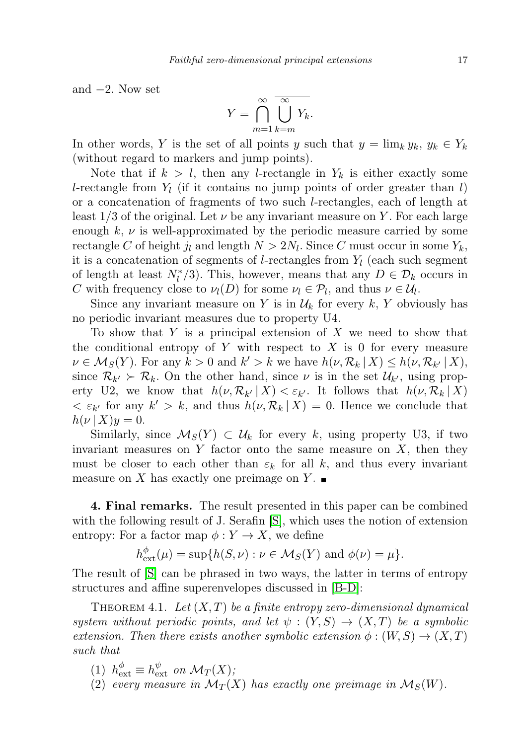and  $-2$ . Now set

$$
Y = \bigcap_{m=1}^{\infty} \overline{\bigcup_{k=m}^{\infty} Y_k}.
$$

In other words, Y is the set of all points y such that  $y = \lim_k y_k$ ,  $y_k \in Y_k$ (without regard to markers and jump points).

Note that if  $k > l$ , then any *l*-rectangle in  $Y_k$  is either exactly some l-rectangle from  $Y_l$  (if it contains no jump points of order greater than l) or a concatenation of fragments of two such l-rectangles, each of length at least 1/3 of the original. Let  $\nu$  be any invariant measure on Y. For each large enough  $k, \nu$  is well-approximated by the periodic measure carried by some rectangle C of height  $j_l$  and length  $N > 2N_l$ . Since C must occur in some  $Y_k$ , it is a concatenation of segments of *l*-rectangles from  $Y<sub>l</sub>$  (each such segment of length at least  $N_l^*/3$ ). This, however, means that any  $D \in \mathcal{D}_k$  occurs in C with frequency close to  $\nu_l(D)$  for some  $\nu_l \in \mathcal{P}_l$ , and thus  $\nu \in \mathcal{U}_l$ .

Since any invariant measure on Y is in  $\mathcal{U}_k$  for every k, Y obviously has no periodic invariant measures due to property U4.

To show that Y is a principal extension of X we need to show that the conditional entropy of Y with respect to X is 0 for every measure  $\nu \in \mathcal{M}_S(Y)$ . For any  $k > 0$  and  $k' > k$  we have  $h(\nu, \mathcal{R}_k | X) \leq h(\nu, \mathcal{R}_{k'} | X)$ , since  $\mathcal{R}_{k'} \succ \mathcal{R}_k$ . On the other hand, since  $\nu$  is in the set  $\mathcal{U}_{k'}$ , using property U2, we know that  $h(\nu, \mathcal{R}_{k'} | X) < \varepsilon_{k'}$ . It follows that  $h(\nu, \mathcal{R}_k | X)$  $\langle \varepsilon_{k'} \rangle$  for any  $k' > k$ , and thus  $h(\nu, \mathcal{R}_k | X) = 0$ . Hence we conclude that  $h(\nu | X)y = 0.$ 

Similarly, since  $\mathcal{M}_S(Y) \subset \mathcal{U}_k$  for every k, using property U3, if two invariant measures on  $Y$  factor onto the same measure on  $X$ , then they must be closer to each other than  $\varepsilon_k$  for all k, and thus every invariant measure on X has exactly one preimage on Y.

4. Final remarks. The result presented in this paper can be combined with the following result of J. Serafin  $|S|$ , which uses the notion of extension entropy: For a factor map  $\phi: Y \to X$ , we define

$$
h_{\text{ext}}^{\phi}(\mu) = \sup \{ h(S, \nu) : \nu \in \mathcal{M}_S(Y) \text{ and } \phi(\nu) = \mu \}.
$$

The result of [\[S\]](#page-17-7) can be phrased in two ways, the latter in terms of entropy structures and affine superenvelopes discussed in [\[B-D\]](#page-17-4):

THEOREM 4.1. Let  $(X, T)$  be a finite entropy zero-dimensional dynamical system without periodic points, and let  $\psi : (Y, S) \to (X, T)$  be a symbolic extension. Then there exists another symbolic extension  $\phi : (W, S) \to (X, T)$ such that

- (1)  $h_{\text{ext}}^{\phi} \equiv h_{\text{ext}}^{\psi}$  on  $\mathcal{M}_T(X)$ ;
- (2) every measure in  $\mathcal{M}_T(X)$  has exactly one preimage in  $\mathcal{M}_S(W)$ .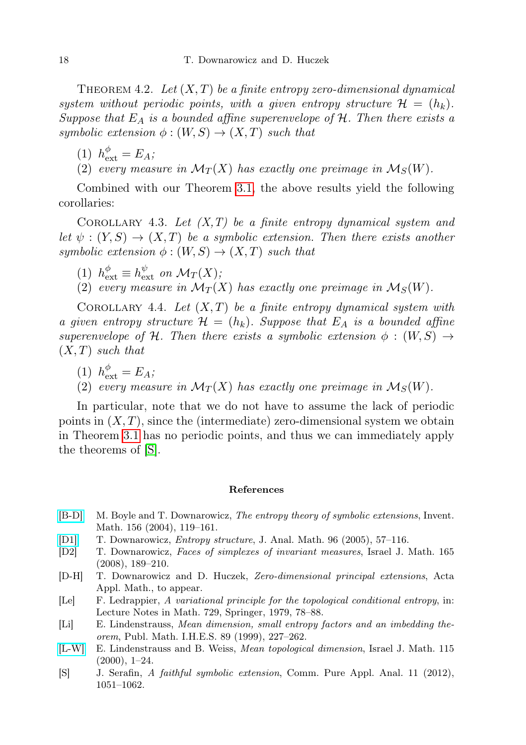THEOREM 4.2. Let  $(X, T)$  be a finite entropy zero-dimensional dynamical system without periodic points, with a given entropy structure  $\mathcal{H} = (h_k)$ . Suppose that  $E_A$  is a bounded affine superenvelope of  $H$ . Then there exists a symbolic extension  $\phi : (W, S) \to (X, T)$  such that

(1)  $h_{\text{ext}}^{\phi} = E_A;$ 

(2) every measure in  $\mathcal{M}_T(X)$  has exactly one preimage in  $\mathcal{M}_S(W)$ .

Combined with our Theorem [3.1,](#page-5-1) the above results yield the following corollaries:

COROLLARY 4.3. Let  $(X, T)$  be a finite entropy dynamical system and let  $\psi: (Y, S) \to (X, T)$  be a symbolic extension. Then there exists another symbolic extension  $\phi : (W, S) \to (X, T)$  such that

- (1)  $h_{\text{ext}}^{\phi} \equiv h_{\text{ext}}^{\psi}$  on  $\mathcal{M}_T(X)$ ;
- (2) every measure in  $\mathcal{M}_T(X)$  has exactly one preimage in  $\mathcal{M}_S(W)$ .

COROLLARY 4.4. Let  $(X, T)$  be a finite entropy dynamical system with a given entropy structure  $\mathcal{H} = (h_k)$ . Suppose that  $E_A$  is a bounded affine superenvelope of H. Then there exists a symbolic extension  $\phi : (W, S) \rightarrow$  $(X, T)$  such that

- (1)  $h_{\text{ext}}^{\phi} = E_A;$
- (2) every measure in  $\mathcal{M}_T(X)$  has exactly one preimage in  $\mathcal{M}_S(W)$ .

In particular, note that we do not have to assume the lack of periodic points in  $(X, T)$ , since the (intermediate) zero-dimensional system we obtain in Theorem [3.1](#page-5-1) has no periodic points, and thus we can immediately apply the theorems of [\[S\]](#page-17-7).

#### References

- <span id="page-17-4"></span>[\[B-D\]](http://dx.doi.org/10.1007/s00222-003-0335-2) M. Boyle and T. Downarowicz, The entropy theory of symbolic extensions, Invent. Math. 156 (2004), 119–161.
- <span id="page-17-5"></span>[\[D1\]](http://dx.doi.org/10.1007/BF02787825) T. Downarowicz, Entropy structure, J. Anal. Math. 96 (2005), 57–116.
- <span id="page-17-6"></span>[D2] T. Downarowicz, Faces of simplexes of invariant measures, Israel J. Math. 165 (2008), 189–210.
- <span id="page-17-2"></span>[D-H] T. Downarowicz and D. Huczek, Zero-dimensional principal extensions, Acta Appl. Math., to appear.
- <span id="page-17-3"></span>[Le] F. Ledrappier, A variational principle for the topological conditional entropy, in: Lecture Notes in Math. 729, Springer, 1979, 78–88.
- <span id="page-17-1"></span>[Li] E. Lindenstrauss, Mean dimension, small entropy factors and an imbedding theorem, Publ. Math. I.H.E.S. 89 (1999), 227–262.
- <span id="page-17-0"></span>[\[L-W\]](http://dx.doi.org/10.1007/BF02810577) E. Lindenstrauss and B. Weiss, Mean topological dimension, Israel J. Math. 115  $(2000), 1-24.$
- <span id="page-17-7"></span>[S] J. Serafin, A faithful symbolic extension, Comm. Pure Appl. Anal. 11 (2012), 1051–1062.